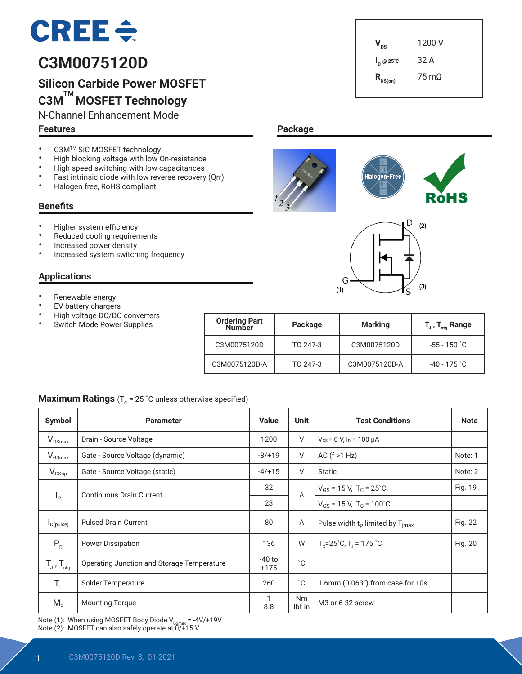# $CREE \div$

# **C3M0075120D**

# **Silicon Carbide Power MOSFET C3M TM MOSFET Technology**

N-Channel Enhancement Mode

#### **Features**

 $V_{\text{ns}}$  1200 V **I <sup>D</sup> @ 25˚C** 32 A  $R_{DS(on)}$  75 mΩ

## • C3M<sup>TM</sup> SiC MOSFET technology • High blocking voltage with low On-resistance<br>• High speed switching with low canacitances

- High speed switching with low capacitances<br>• Fast intrinsic diade with low reverse resevery
- Fast intrinsic diode with low reverse recovery (Qrr)<br>• Halogen free BoHS compliant
- Halogen free, RoHS compliant

#### **Benefits**

- Higher system efficiency
- Reduced cooling requirements
- Increased power density
- Increased system switching frequency

#### **Applications**

- Renewable energy
- **EV** battery chargers
- High voltage DC/DC converters
- Switch Mode Power Supplies

| <b>Ordering Part</b><br><b>Number</b> | Package  | <b>Marking</b> | $T_{\text{J}}$ , $T_{\text{sta}}$ Range |
|---------------------------------------|----------|----------------|-----------------------------------------|
| C3M0075120D                           | TO 247-3 | C3M0075120D    | $-55 - 150$ °C                          |
| C3M0075120D-A                         | TO 247-3 | C3M0075120D-A  | $-40 - 175$ $^{\circ}$ C                |

#### **Maximum Ratings** ( $T_c$  = 25 °C unless otherwise specified)

| Symbol                                      | <b>Parameter</b>                           | <b>Value</b>       | <b>Unit</b>         | <b>Test Conditions</b>                              | <b>Note</b> |
|---------------------------------------------|--------------------------------------------|--------------------|---------------------|-----------------------------------------------------|-------------|
| $V_{DSmax}$                                 | Drain - Source Voltage                     | 1200               | V                   | $V_{GS}$ = 0 V, $I_D$ = 100 µA                      |             |
| $V_{GSmax}$                                 | Gate - Source Voltage (dynamic)            | $-8/+19$           | V                   | AC $(f > 1 Hz)$                                     | Note: 1     |
| $V_{GSop}$                                  | Gate - Source Voltage (static)             | $-4/+15$           | V                   | <b>Static</b>                                       | Note: 2     |
|                                             | <b>Continuous Drain Current</b>            | 32                 | A                   | $V_{GS}$ = 15 V, T <sub>C</sub> = 25 <sup>°</sup> C | Fig. 19     |
| $I_{\rm D}$                                 |                                            | 23                 |                     | $V_{GS}$ = 15 V, T <sub>C</sub> = 100°C             |             |
| $I_{D(pulse)}$                              | <b>Pulsed Drain Current</b>                | 80                 | Α                   | Pulse width $t_p$ limited by $T_{\text{imax}}$      | Fig. 22     |
| $P_{D}$                                     | <b>Power Dissipation</b>                   | 136                | W                   | $T_c = 25^\circ C$ , $T_1 = 175^\circ C$            | Fig. 20     |
| $T_{J}$ , $T_{\text{stg}}$                  | Operating Junction and Storage Temperature | $-40$ to<br>$+175$ | $^{\circ}$ C        |                                                     |             |
| $\mathsf{T}_{\scriptscriptstyle\mathsf{L}}$ | Solder Temperature                         | 260                | $^{\circ}$ C        | 1.6mm (0.063") from case for 10s                    |             |
| $M_d$                                       | <b>Mounting Torque</b>                     | 1<br>8.8           | <b>Nm</b><br>lbf-in | M <sub>3</sub> or 6-32 screw                        |             |

Note (1): When using MOSFET Body Diode  $V_{\text{GSmax}} = -4V/+19V$ Note (2): MOSFET can also safely operate at 0/+15 V





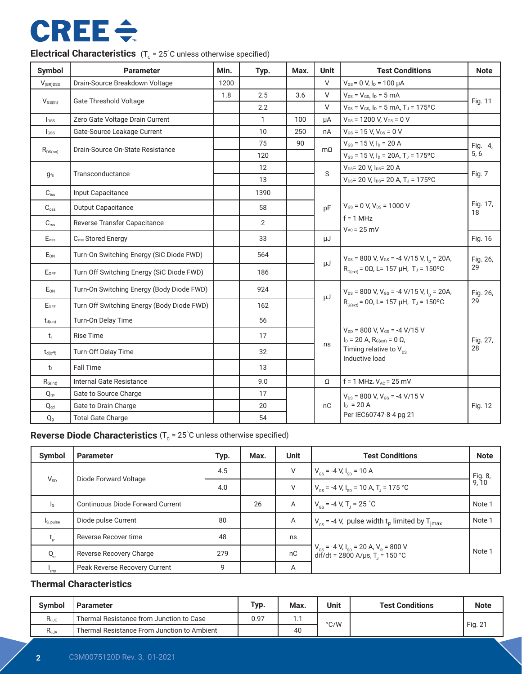# **CREE ÷**

| <b>Symbol</b>             | <b>Parameter</b>                           | Min. | Typ.           | Max. | <b>Unit</b> | <b>Test Conditions</b>                                                              | <b>Note</b>    |
|---------------------------|--------------------------------------------|------|----------------|------|-------------|-------------------------------------------------------------------------------------|----------------|
| $V_{\text{(BR)DSS}}$      | Drain-Source Breakdown Voltage             | 1200 |                |      | $\vee$      | $V_{GS}$ = 0 V, $I_D$ = 100 $\mu$ A                                                 |                |
|                           |                                            | 1.8  | 2.5            | 3.6  | $\vee$      | $V_{DS} = V_{GS}$ , $I_D = 5$ mA                                                    |                |
| $V_{GS(th)}$              | <b>Gate Threshold Voltage</b>              |      | 2.2            |      | $\vee$      | $V_{DS} = V_{GS}$ , $I_D = 5$ mA, $T_J = 175$ °C                                    | Fig. 11        |
| $I_{DSS}$                 | Zero Gate Voltage Drain Current            |      | $\mathbf{1}$   | 100  | uА          | $V_{DS}$ = 1200 V, $V_{GS}$ = 0 V                                                   |                |
| lgss                      | Gate-Source Leakage Current                |      | 10             | 250  | nA          | $V_{GS}$ = 15 V, $V_{DS}$ = 0 V                                                     |                |
|                           | Drain-Source On-State Resistance           |      | 75             | 90   | $m\Omega$   | $V_{GS}$ = 15 V, $I_D$ = 20 A                                                       | Fig. 4,        |
| $R_{DS(on)}$              |                                            |      | 120            |      |             | $V_{GS}$ = 15 V, I <sub>D</sub> = 20A, T <sub>J</sub> = 175°C                       | 5, 6           |
| $g_{fs}$                  | Transconductance                           |      | 12             |      | S           | $V_{DS}$ = 20 V, $I_{DS}$ = 20 A                                                    | Fig. 7         |
|                           |                                            |      | 13             |      |             | $V_{DS}$ = 20 V, $I_{DS}$ = 20 A, T <sub>J</sub> = 175°C                            |                |
| $C_{iss}$                 | Input Capacitance                          |      | 1390           |      |             |                                                                                     |                |
| $C_{\rm oss}$             | <b>Output Capacitance</b>                  |      | 58             |      | pF          | $V_{GS}$ = 0 V, $V_{DS}$ = 1000 V                                                   | Fig. 17,<br>18 |
| $C_{\text{rss}}$          | Reverse Transfer Capacitance               |      | $\overline{2}$ |      |             | $f = 1$ MHz<br>$V_{AC}$ = 25 mV                                                     |                |
| $E_{\rm oss}$             | C <sub>oss</sub> Stored Energy             |      | 33             |      | μJ          |                                                                                     | Fig. 16        |
| $E_{ON}$                  | Turn-On Switching Energy (SiC Diode FWD)   |      | 564            |      |             | $V_{DS}$ = 800 V, V <sub>GS</sub> = -4 V/15 V, I <sub>D</sub> = 20A,                | Fig. 26,<br>29 |
| EOFF                      | Turn Off Switching Energy (SiC Diode FWD)  |      | 186            |      | μJ          | $R_{G(\text{ext})} = 0Ω$ , L= 157 μH, T <sub>J</sub> = 150°C                        |                |
| $E_{ON}$                  | Turn-On Switching Energy (Body Diode FWD)  |      | 924            |      | μJ          | $V_{DS}$ = 800 V, V <sub>GS</sub> = -4 V/15 V, I <sub>D</sub> = 20A,                | Fig. 26,<br>29 |
| $E_{OFF}$                 | Turn Off Switching Energy (Body Diode FWD) |      | 162            |      |             | $R_{G(\text{ext})} = 0Ω$ , L= 157 μH, T <sub>J</sub> = 150°C                        |                |
| $t_{d(on)}$               | Turn-On Delay Time                         |      | 56             |      |             |                                                                                     |                |
| $t_{r}$                   | <b>Rise Time</b>                           |      | 17             |      |             | $V_{DD}$ = 800 V, $V_{GS}$ = -4 V/15 V<br>$I_D = 20$ A, $R_{G(ext)} = 0$ $\Omega$ , | Fig. 27,       |
| $t_{d(off)}$              | Turn-Off Delay Time                        |      | 32             |      | ns          | Timing relative to $V_{ns}$<br>Inductive load                                       | 28             |
| $t_f$                     | <b>Fall Time</b>                           |      | 13             |      |             |                                                                                     |                |
| $R_{\text{G(int)}}$       | Internal Gate Resistance                   |      | 9.0            |      | Ω           | $f = 1$ MHz, $V_{AC} = 25$ mV                                                       |                |
| $Q_{qs}$                  | Gate to Source Charge                      |      | 17             |      |             | $V_{DS}$ = 800 V, $V_{GS}$ = -4 V/15 V                                              |                |
| $Q_{gd}$                  | Gate to Drain Charge                       |      | 20             |      | nC          | $I_D = 20 A$                                                                        | Fig. 12        |
| $\mathsf{Q}_{\texttt{g}}$ | <b>Total Gate Charge</b>                   |      | 54             |      |             | Per IEC60747-8-4 pg 21                                                              |                |

## **Electrical Characteristics**  $(T_c = 25^\circ C \text{ unless otherwise specified})$

**Reverse Diode Characteristics** (T<sub>c</sub> = 25°C unless otherwise specified)

| Symbol                  | <b>Parameter</b>                        | Typ. | Max. | <b>Unit</b> | <b>Test Conditions</b>                                                                                                | <b>Note</b>      |
|-------------------------|-----------------------------------------|------|------|-------------|-----------------------------------------------------------------------------------------------------------------------|------------------|
| $V_{SD}$                |                                         | 4.5  |      | V           | $V_{\text{cs}}$ = -4 V, $I_{\text{sn}}$ = 10 A                                                                        | Fig. 8,<br>9, 10 |
|                         | Diode Forward Voltage                   | 4.0  |      | V           | $V_{cs}$ = -4 V, I <sub>sp</sub> = 10 A, T <sub>i</sub> = 175 °C                                                      |                  |
| $\mathsf{I}_\mathsf{S}$ | <b>Continuous Diode Forward Current</b> |      | 26   | A           | $V_{\text{gs}}$ = -4 V, T <sub>1</sub> = 25 °C                                                                        | Note 1           |
| Is, pulse               | Diode pulse Current                     | 80   |      | A           | $V_{\text{es}}$ = -4 V, pulse width t <sub>p</sub> limited by T <sub>imax</sub>                                       | Note 1           |
| $L_{rr}$                | Reverse Recover time                    | 48   |      | ns          |                                                                                                                       |                  |
| $Q_{rr}$                | Reverse Recovery Charge                 | 279  |      | nC          | $V_{\text{gs}}$ = -4 V, I <sub>sp</sub> = 20 A, V <sub>R</sub> = 800 V<br>dif/dt = 2800 A/µs, T <sub>1</sub> = 150 °C | Note 1           |
| 'rm                     | Peak Reverse Recovery Current           | 9    |      | A           |                                                                                                                       |                  |

#### **Thermal Characteristics**

| <b>Symbol</b>                             | . Parameter                                 | Typ. | Max. | <b>Unit</b>   | <b>Test Conditions</b> | <b>Note</b> |
|-------------------------------------------|---------------------------------------------|------|------|---------------|------------------------|-------------|
| $\mathsf{R}_{\theta\mathsf{J}\mathsf{C}}$ | Thermal Resistance from Junction to Case    | 0.97 | . .  | $\degree$ C/W |                        |             |
| $R_{\theta$ JA                            | Thermal Resistance From Junction to Ambient |      | 40   |               |                        | Fig. 21     |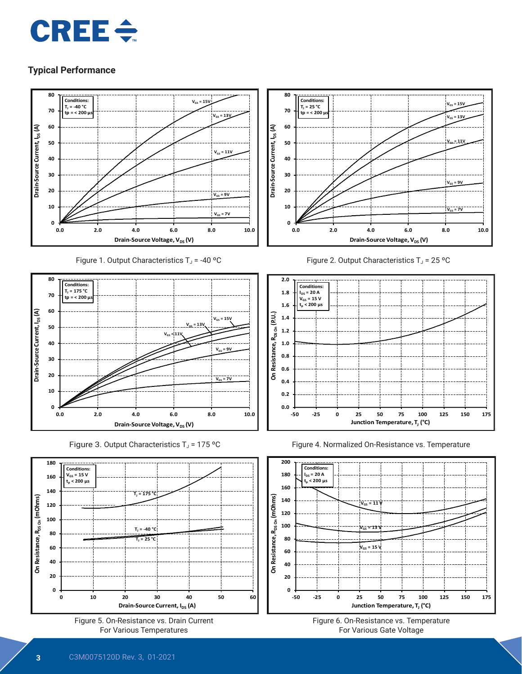



Figure 1. Output Characteristics  $T_J = -40$  °C



Figure 3. Output Characteristics  $T_J$  = 175 °C















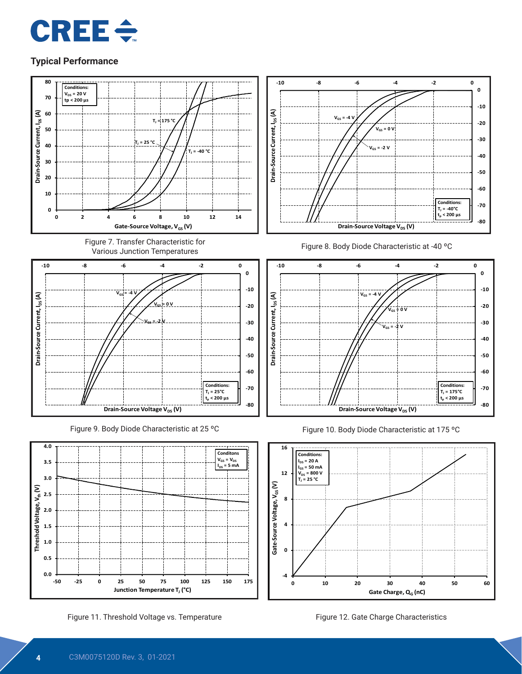











Figure 11. Threshold Voltage vs. Temperature Figure 12. Gate Charge Characteristics







Figure 10. Body Diode Characteristic at 175 ºC



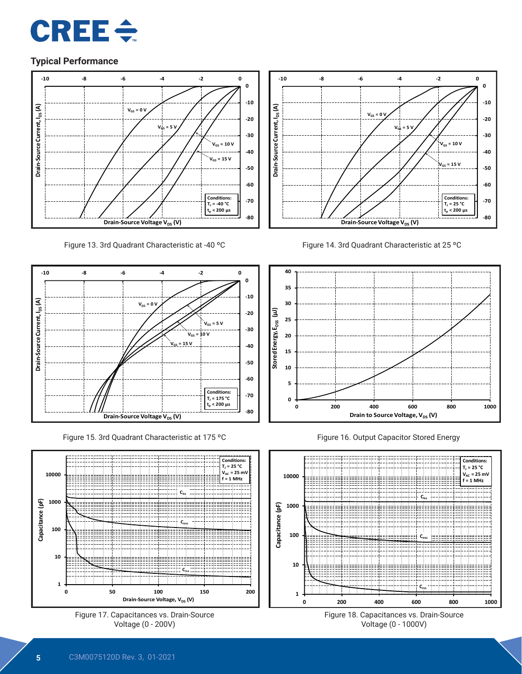



Figure 13. 3rd Quadrant Characteristic at -40 ºC



Figure 15. 3rd Quadrant Characteristic at 175 ºC











Figure 16. Output Capacitor Stored Energy



**Figure 18. Capacitances vs. Drain-Source** Voltage (0 - 1000V)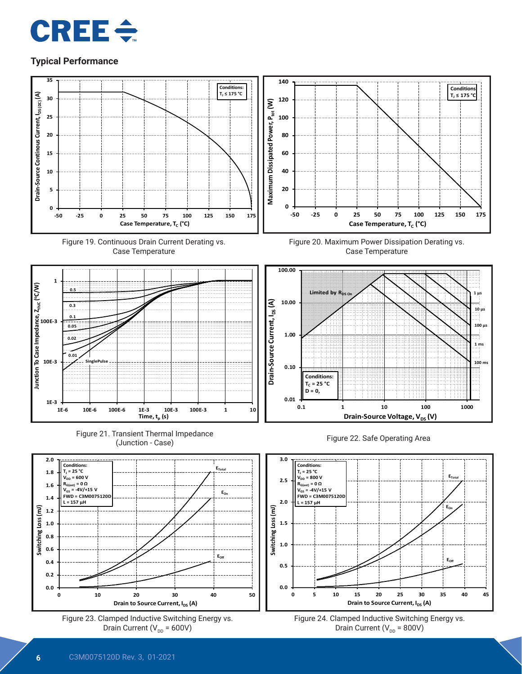











**100 µs**

**10 µs**

**1 ms**

**100 m** 



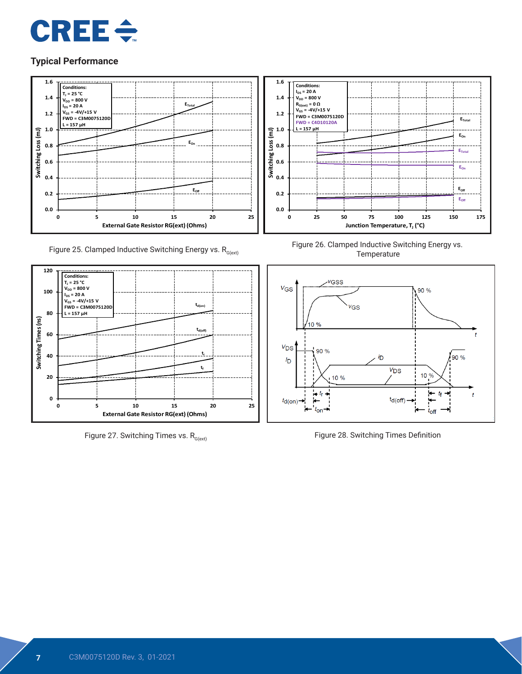



Figure 25. Clamped Inductive Switching Energy vs.  $R_{G(\text{ext})}$ 



Figure 27. Switching Times vs.  $R_{G(ext)}$ 



Figure 26. Clamped Inductive Switching Energy vs. **Temperature** 



Figure 28. Switching Times Definition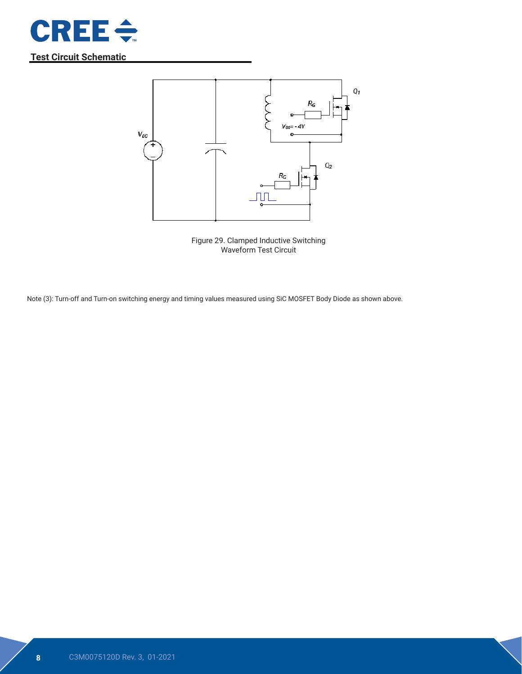

## **Test Circuit Schematic**



Figure 29. Clamped Inductive Switching Waveform Test Circuit

Note (3): Turn-off and Turn-on switching energy and timing values measured using SiC MOSFET Body Diode as shown above.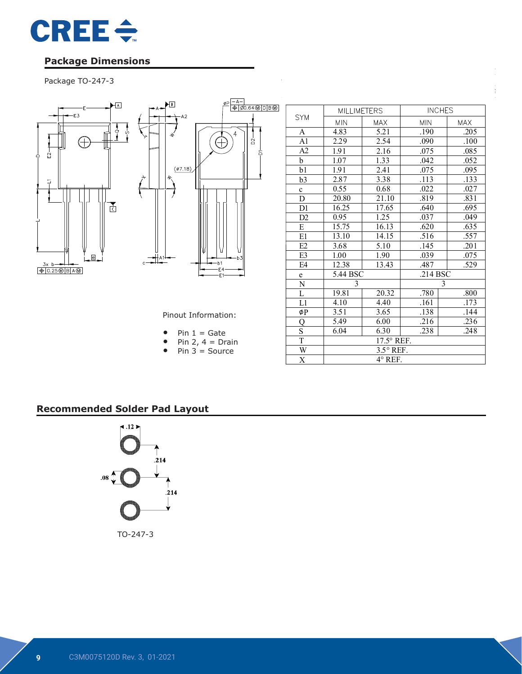

### **Package Dimensions**

# Package TO-247-3



|                | <b>MILLIMETERS</b> |              | <b>INCHES</b> |            |  |  |
|----------------|--------------------|--------------|---------------|------------|--|--|
| <b>SYM</b>     | <b>MIN</b>         | <b>MAX</b>   | <b>MIN</b>    | <b>MAX</b> |  |  |
| A              | 4.83               | 5.21         | .190          | .205       |  |  |
| A1             | 2.29               | 2.54         | .090          | .100       |  |  |
| A2             | 1.91               | 2.16         | .075          | .085       |  |  |
| b              | 1.07               | 1.33         | .042          | .052       |  |  |
| b1             | 1.91               | 2.41         | .075          | .095       |  |  |
| b3             | 2.87               | 3.38         | .113          | .133       |  |  |
| $\mathbf c$    | 0.55               | 0.68         | .022          | .027       |  |  |
| D              | 20.80              | 21.10        | .819          | .831       |  |  |
| D1             | 16.25              | 17.65        | .640          |            |  |  |
| D <sub>2</sub> | 0.95               | 1.25         | .037          | .049       |  |  |
| E              | 15.75              | 16.13        | .620          |            |  |  |
| E1             | 13.10              | 14.15        | .516          | .557       |  |  |
| E2             | 3.68               | 5.10         | .145          | .201       |  |  |
| E3             | 1.00               | 1.90         | .039          | .075       |  |  |
| E <sub>4</sub> | 12.38              | 13.43        | .487          | .529       |  |  |
| e              | 5.44 BSC           |              | .214 BSC      |            |  |  |
| ${\bf N}$      | 3                  |              | 3             |            |  |  |
| L              | 19.81              | 20.32        | .780          | .800       |  |  |
| L1             | 4.10               | 4.40         | .161          | .173       |  |  |
| øΡ             | 3.51               | 3.65         | .138          | .144       |  |  |
| Q              | 5.49               | 6.00         | .216          | .236       |  |  |
| $\mathbf S$    | 6.04               | 6.30<br>.238 |               | .248       |  |  |
| T              | 17.5° REF.         |              |               |            |  |  |
| W              | $3.5^{\circ}$ REF. |              |               |            |  |  |
| X              | 4° REF.            |              |               |            |  |  |

COMPANY ASE Weihai

Pinout Information:

DWG NO. 98WHP03165A

|  |  |  |  | $Pin 1 = Gate$ |
|--|--|--|--|----------------|
|--|--|--|--|----------------|

- Pin 2,  $4 = \text{Drain}$
- Pin  $3 =$  Source

TITLE:

## **Recommended Solder Pad Layout**